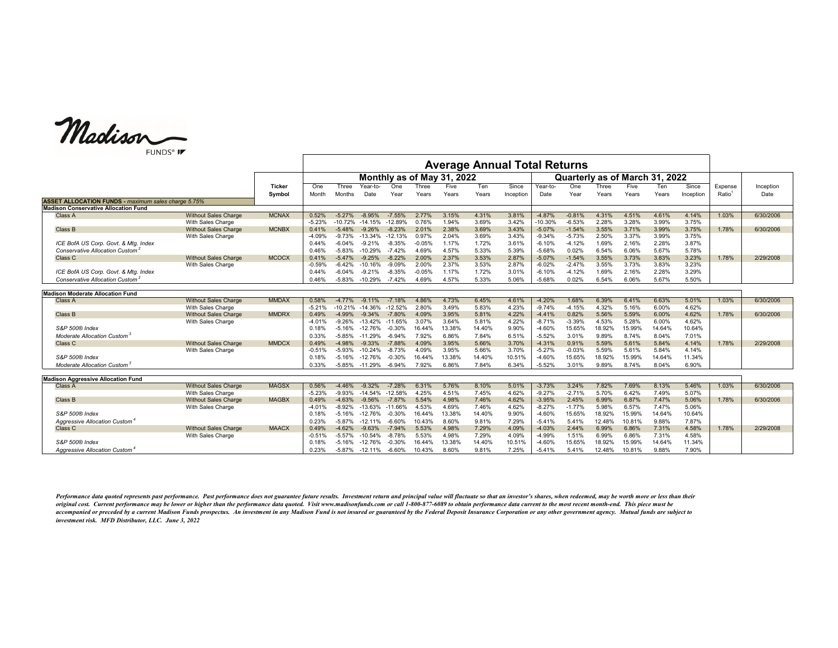

Е

|                                                            |                             |               | <b>Average Annual Total Returns</b> |           |                |           |          |                            |        |           |          |          |        |        |                                |           |                    |           |
|------------------------------------------------------------|-----------------------------|---------------|-------------------------------------|-----------|----------------|-----------|----------|----------------------------|--------|-----------|----------|----------|--------|--------|--------------------------------|-----------|--------------------|-----------|
|                                                            |                             |               |                                     |           |                |           |          | Monthly as of May 31, 2022 |        |           |          |          |        |        | Quarterly as of March 31, 2022 |           |                    |           |
|                                                            |                             | <b>Ticker</b> | One                                 | Three     | Year-to-       | One       | Three    | Five                       | Ten    | Since     | Year-to- | One      | Three  | Five   | Ten                            | Since     | Expense            | Inception |
|                                                            |                             | Symbol        | Month                               | Months    | Date           | Year      | Years    | Years                      | Years  | Inception | Date     | Year     | Years  | Years  | Years                          | Inception | Ratio <sup>1</sup> | Date      |
| <b>ASSET ALLOCATION FUNDS - maximum sales charge 5.75%</b> |                             |               |                                     |           |                |           |          |                            |        |           |          |          |        |        |                                |           |                    |           |
| <b>Madison Conservative Allocation Fund</b>                |                             |               |                                     |           |                |           |          |                            |        |           |          |          |        |        |                                |           |                    |           |
| Class A                                                    | <b>Without Sales Charge</b> | <b>MCNAX</b>  | 0.52%                               | $-5.27%$  | $-8.95%$       | $-7.55%$  | 2.77%    | 3.15%                      | 4.31%  | 3.81%     | $-4.87%$ | $-0.81%$ | 4.31%  | 4.51%  | 4.61%                          | 4.14%     | 1.03%              | 6/30/2006 |
|                                                            | With Sales Charge           |               | $-5.23%$                            | -10.72%   | -14.15%        | $-12.89%$ | 0.76%    | 1.94%                      | 3.69%  | 3.42%     | -10.30%  | $-6.53%$ | 2.28%  | 3.28%  | 3.99%                          | 3.75%     |                    |           |
| Class B                                                    | <b>Without Sales Charge</b> | <b>MCNBX</b>  | 0.41%                               | $-5.48%$  | $-9.26%$       | $-8.23%$  | 2.01%    | 2.38%                      | 3.69%  | 3.43%     | $-5.07%$ | $-1.54%$ | 3.55%  | 3.71%  | 3.99%                          | 3.75%     | 1.78%              | 6/30/2006 |
|                                                            | With Sales Charge           |               | $-4.09%$                            | $-9.73%$  | $-13.34\%$     | $-12.13%$ | 0.97%    | 2.04%                      | 3.69%  | 3.43%     | $-9.34%$ | $-5.73%$ | 2.50%  | 3.37%  | 3.99%                          | 3.75%     |                    |           |
| ICE BofA US Corp. Govt. & Mtg. Index                       |                             |               | 0.44%                               | $-6.04%$  | $-9.21%$       | $-8.35%$  | $-0.05%$ | 1.17%                      | 1.72%  | 3.61%     | $-6.10%$ | $-4.12%$ | 1.69%  | 2.16%  | 2.28%                          | 3.87%     |                    |           |
| Conservative Allocation Custom <sup>2</sup>                |                             |               | 0.46%                               | $-5.83%$  | $-10.29%$      | $-7.42%$  | 4.69%    | 4.57%                      | 5.33%  | 5.39%     | $-5.68%$ | 0.02%    | 6.54%  | 6.06%  | 5.67%                          | 5.78%     |                    |           |
| Class C                                                    | <b>Without Sales Charge</b> | <b>MCOCX</b>  | 0.41%                               | $-5.47%$  | $-9.25%$       | $-8.22%$  | 2.00%    | 2.37%                      | 3.53%  | 2.87%     | $-5.07%$ | $-1.54%$ | 3.55%  | 3.73%  | 3.83%                          | 3.23%     | 1.78%              | 2/29/2008 |
|                                                            | With Sales Charge           |               | $-0.59%$                            | $-6.42%$  | $-10.16%$      | $-9.09%$  | 2.00%    | 2.37%                      | 3.53%  | 2.87%     | $-6.02%$ | $-2.47%$ | 3.55%  | 3.73%  | 3.83%                          | 3.23%     |                    |           |
| ICE BofA US Corp. Govt. & Mtg. Index                       |                             |               | 0.44%                               | $-6.04%$  | $-9.21%$       | $-8.35%$  | $-0.05%$ | 1.17%                      | 1.72%  | 3.01%     | $-6.10%$ | $-4.12%$ | 1.69%  | 2.16%  | 2.28%                          | 3.29%     |                    |           |
| Conservative Allocation Custom                             |                             |               | 0.46%                               | $-5.83%$  | $-10.29%$      | $-7.42%$  | 4.69%    | 4.57%                      | 5.33%  | 5.06%     | $-5.68%$ | 0.02%    | 6.54%  | 6.06%  | 5.67%                          | 5.50%     |                    |           |
|                                                            |                             |               |                                     |           |                |           |          |                            |        |           |          |          |        |        |                                |           |                    |           |
| <b>Madison Moderate Allocation Fund</b>                    |                             |               |                                     |           |                |           |          |                            |        |           |          |          |        |        |                                |           |                    |           |
| Class A                                                    | <b>Without Sales Charge</b> | <b>MMDAX</b>  | 0.58%                               | $-477%$   | $-9.11%$       | $-7.18%$  | 4.86%    | 4.73%                      | 6.45%  | 4.61%     | $-4.20%$ | 1.68%    | 6.39%  | 6.41%  | 6.63%                          | 5.01%     | 1.03%              | 6/30/2006 |
|                                                            | With Sales Charge           |               | $-5.21%$                            | $-10.21%$ | $-14.36%$      | $-12.52%$ | 2.80%    | 3.49%                      | 5.83%  | 4.23%     | $-9.74%$ | $-4.15%$ | 4.32%  | 5.16%  | 6.00%                          | 4.62%     |                    |           |
| Class B                                                    | <b>Without Sales Charge</b> | <b>MMDRX</b>  | 0.49%                               | $-4.99%$  | $-9.34%$       | $-7.80%$  | 4.09%    | 3.95%                      | 5.81%  | 4.22%     | $-4.41%$ | 0.82%    | 5.56%  | 5.59%  | 6.00%                          | 4.62%     | 1.78%              | 6/30/2006 |
|                                                            | With Sales Charge           |               | $-4.01%$                            | $-9.26%$  | $-13.42%$      | $-11.65%$ | 3.07%    | 3.64%                      | 5.81%  | 4.22%     | $-8.71%$ | $-3.39%$ | 4.53%  | 5.28%  | 6.00%                          | 4.62%     |                    |           |
| S&P 500® Index                                             |                             |               | 0.18%                               | $-5.16%$  | $-12.76%$      | $-0.30%$  | 16.44%   | 13.38%                     | 14.40% | 9.90%     | $-4.60%$ | 15.65%   | 18.92% | 15.99% | 14.64%                         | 10.64%    |                    |           |
| Moderate Allocation Custom                                 |                             |               | 0.33%                               | $-5.85%$  | $-11.29%$      | $-6.94%$  | 7.92%    | 6.86%                      | 7.84%  | 6.51%     | $-5.52%$ | 3.01%    | 9.89%  | 8.74%  | 8.04%                          | 7.01%     |                    |           |
| Class C                                                    | <b>Without Sales Charge</b> | <b>MMDCX</b>  | 0.49%                               | $-4.98%$  | $-9.33%$       | $-7.88%$  | 4.09%    | 3.95%                      | 5.66%  | 3.70%     | $-4.31%$ | 0.91%    | 5.59%  | 5.61%  | 5.84%                          | 4.14%     | 1.78%              | 2/29/2008 |
|                                                            | With Sales Charge           |               | $-0.51%$                            | $-5.93%$  | $-10.24%$      | $-8.73%$  | 4.09%    | 3.95%                      | 5.66%  | 3.70%     | $-5.27%$ | $-0.03%$ | 5.59%  | 5.61%  | 5.84%                          | 4.14%     |                    |           |
| S&P 500® Index                                             |                             |               | 0.18%                               | $-5.16%$  | $-12.76%$      | $-0.30%$  | 16.44%   | 13.38%                     | 14.40% | 10.51%    | $-4.60%$ | 15.65%   | 18.92% | 15.99% | 14.64%                         | 11.34%    |                    |           |
| Moderate Allocation Custom                                 |                             |               | 0.33%                               |           | -5.85% -11.29% | $-6.94%$  | 7.92%    | 6.86%                      | 7.84%  | 6.34%     | $-5.52%$ | 3.01%    | 9.89%  | 8.74%  | 8.04%                          | 6.90%     |                    |           |
|                                                            |                             |               |                                     |           |                |           |          |                            |        |           |          |          |        |        |                                |           |                    |           |
| <b>Madison Aggressive Allocation Fund</b>                  |                             |               |                                     |           |                |           |          |                            |        |           |          |          |        |        |                                |           |                    |           |
| Class A                                                    | <b>Without Sales Charge</b> | <b>MAGSX</b>  | 0.56%                               | $-4.46%$  | $-9.32%$       | $-7.28%$  | 6.31%    | 5.76%                      | 8.10%  | 5.01%     | $-3.73%$ | 3.24%    | 7.82%  | 7.69%  | 8.13%                          | 5.46%     | 1.03%              | 6/30/2006 |
|                                                            | With Sales Charge           |               | $-5.23%$                            | $-9.93%$  | $-14.54%$      | $-12.58%$ | 4.25%    | 4.51%                      | 7.45%  | 4.62%     | $-9.27%$ | $-2.71%$ | 5.70%  | 6.42%  | 7.49%                          | 5.07%     |                    |           |
| Class B                                                    | <b>Without Sales Charge</b> | <b>MAGBX</b>  | 0.49%                               | $-4.63%$  | $-9.56%$       | $-7.87%$  | 5.54%    | 4.98%                      | 7.46%  | 4.62%     | $-3.95%$ | 2.45%    | 6.99%  | 6.87%  | 7.47%                          | 5.06%     | 1.78%              | 6/30/2006 |
|                                                            | With Sales Charge           |               | $-4.01%$                            | $-8.92%$  | $-13.63%$      | $-11.66%$ | 4.53%    | 4.69%                      | 7.46%  | 4.62%     | $-8.27%$ | $-1.77%$ | 5.98%  | 6.57%  | 7.47%                          | 5.06%     |                    |           |
| S&P 500® Index                                             |                             |               | 0.18%                               | $-5.16%$  | $-12.76%$      | $-0.30%$  | 16.44%   | 13.38%                     | 14.40% | 9.90%     | $-4.60%$ | 15.65%   | 18.92% | 15.99% | 14.64%                         | 10.64%    |                    |           |
| Aggressive Allocation Custom <sup>4</sup>                  |                             |               | 0.23%                               | $-5.87%$  | $-12.11%$      | $-6.60%$  | 10.43%   | 8.60%                      | 9.81%  | 7.29%     | $-5.41%$ | 5.41%    | 12.48% | 10.81% | 9.88%                          | 7.87%     |                    |           |
| Class C                                                    | <b>Without Sales Charge</b> | <b>MAACX</b>  | 0.49%                               | $-4.62%$  | $-9.63%$       | $-7.94%$  | 5.53%    | 4.98%                      | 7.29%  | 4.09%     | $-4.03%$ | 2.44%    | 6.99%  | 6.86%  | 7.31%                          | 4.58%     | 1.78%              | 2/29/2008 |
|                                                            | With Sales Charge           |               | $-0.51%$                            | $-5.57%$  | $-10.54\%$     | $-8.78%$  | 5.53%    | 4.98%                      | 7.29%  | 4.09%     | $-4.99%$ | 1.51%    | 6.99%  | 6.86%  | 7.31%                          | 4.58%     |                    |           |
| S&P 500® Index                                             |                             |               | 0.18%                               | -5.16%    | -12.76%        | $-0.30%$  | 16.44%   | 13.38%                     | 14.40% | 10.51%    | $-4.60%$ | 15.65%   | 18.92% | 15.99% | 14.64%                         | 11.34%    |                    |           |
| Aggressive Allocation Custom                               |                             |               | 0.23%                               | $-5.87%$  | $-12.11%$      | $-6.60%$  | 10.43%   | 8.60%                      | 9.81%  | 7.25%     | $-5.41%$ | 5.41%    | 12.48% | 10.81% | 9.88%                          | 7.90%     |                    |           |

Performance data quoted represents past performance. Past performance does not guarantee future results. Investment return and principal value will fluctuate so that an investor's shares, when redeemed, may be worth more o original cost. Current performance may be lower or higher than the performance data quoted. Visit www.madisonfunds.com or call 1-800-877-6089 to obtain performance data current to the most recent month-end. This piece must accompanied or preceded by a current Madison Funds prospectus. An investment in any Madison Fund is not insured or guaranteed by the Federal Deposit Insurance Corporation or any other government agency. Mutual funds are su *investment risk. MFD Distributor, LLC. June 3, 2022*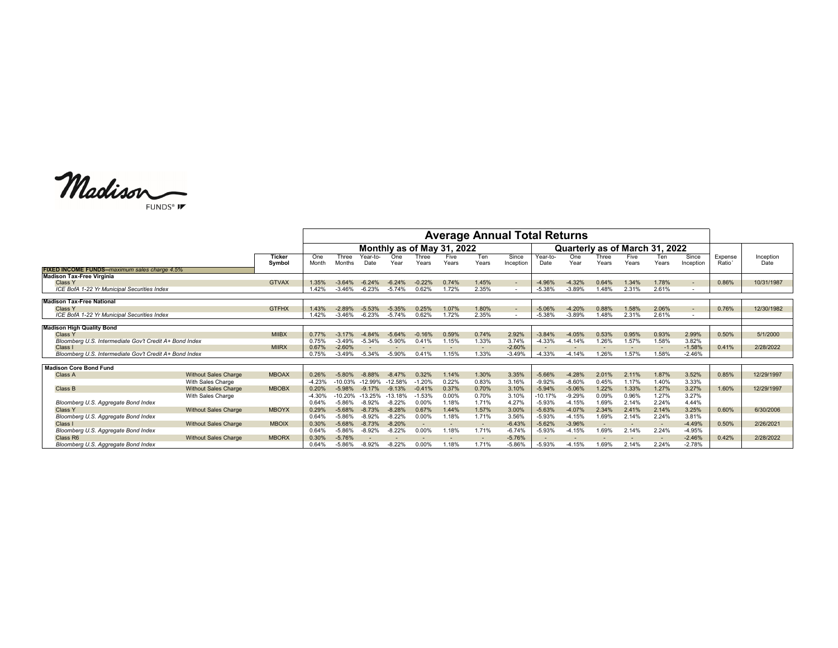Madison

|                                                                                     |                  | <b>Average Annual Total Returns</b> |                       |                       |                       |                   |                            |                 |                                    |                                      |                      |                      |                |                                |                      |                  |                   |
|-------------------------------------------------------------------------------------|------------------|-------------------------------------|-----------------------|-----------------------|-----------------------|-------------------|----------------------------|-----------------|------------------------------------|--------------------------------------|----------------------|----------------------|----------------|--------------------------------|----------------------|------------------|-------------------|
|                                                                                     |                  |                                     |                       |                       |                       |                   | Monthly as of May 31, 2022 |                 |                                    |                                      |                      |                      |                | Quarterly as of March 31, 2022 |                      |                  |                   |
| <b>FIXED INCOME FUNDS--maximum sales charge 4.5%</b>                                | Ticker<br>Symbol | One<br>Month                        | Three<br>Months       | Year-to-<br>Date      | ∩ne<br>Year           | Three<br>Years    | Five<br>Years              | Ten<br>Years    | Since<br>Inception                 | Year-to-<br>Date                     | One<br>Year          | <b>hree</b><br>Years | Five<br>Years  | Геn<br>Years                   | Since<br>Inception   | Expense<br>Ratio | Inception<br>Date |
| Madison Tax-Free Virginia<br>Class Y<br>ICE BofA 1-22 Yr Municipal Securities Index | <b>GTVAX</b>     | 1.35%<br>1.42%                      | $-3.64%$<br>$-3.46%$  | $-6.24%$<br>$-6.23%$  | $-6.24%$<br>$-5.74%$  | $-0.22%$<br>0.62% | 0.74%<br>1.72%             | 1.45%<br>2.35%  | $\sim$<br>$\overline{\phantom{a}}$ | $-4.96%$<br>$-5.38%$                 | $-4.32%$<br>$-3.89%$ | 0.64%<br>1.48%       | 1.34%<br>2.31% | 1.78%<br>2.61%                 | $\sim$               | 0.86%            | 10/31/1987        |
| <b>Madison Tax-Free National</b><br><b>Class Y</b>                                  | <b>GTFHX</b>     | 1.43%                               | $-2.89%$              | $-5.53%$              | $-5.35%$              | 0.25%             | 1.07%                      | 1.80%           | $\overline{\phantom{a}}$           | $-5.06%$                             | $-4.20%$             | 0.88%                | 1.58%          | 2.06%                          | $\sim$               | 0.76%            | 12/30/1982        |
| ICE BofA 1-22 Yr Municipal Securities Index                                         |                  | 1.42%                               | $-3.46%$              | $-6.23%$              | $-5.74%$              | 0.62%             | 1.72%                      | 2.35%           | $\overline{\phantom{a}}$           | $-5.38%$                             | $-3.89%$             | 1.48%                | 2.31%          | 2.61%                          |                      |                  |                   |
| <b>Madison High Quality Bond</b><br>Class                                           | <b>MIIBX</b>     | 0.77%                               | $-3.17%$              |                       | $-5.64%$              | $-0.16%$          | 0.59%                      | 0.74%           | 2.92%                              | $-3.84%$                             | $-4.05%$             | 0.53%                | 0.95%          | 0.93%                          | 2.99%                | 0.50%            | 5/1/2000          |
| Bloomberg U.S. Intermediate Gov't Credit A+ Bond Index                              |                  | 0.75%                               | $-3.49%$              | $-5.34%$              | $-5.90%$              | 0.41%             | 1.15%                      | 1.33%           | 3.74%                              | $-4.33%$                             | $-4.14%$             | 1.26%                | 1.57%          | 1.58%                          | 3.82%                |                  |                   |
| Class I<br>Bloomberg U.S. Intermediate Gov't Credit A+ Bond Index                   | <b>MIIRX</b>     | 0.67%<br>0.75%                      | $-2.60%$<br>$-3.49%$  | $-5.34%$              | $-5.90%$              | 0.41%             | 1.15%                      | 1.33%           | $-2.60%$<br>$-3.49%$               | $-4.33%$                             | $-4.14%$             | 1.26%                | 1.57%          | 1.58%                          | $-1.58%$<br>$-2.46%$ | 0.41%            | 2/28/2022         |
| <b>Madison Core Bond Fund</b>                                                       |                  |                                     |                       |                       |                       |                   |                            |                 |                                    |                                      |                      |                      |                |                                |                      |                  |                   |
| <b>Without Sales Charge</b><br>Class A<br>With Sales Charge                         | <b>MBOAX</b>     | 0.26%<br>$-4.239$                   | $-5.80%$<br>$-10.03%$ | $-8.88%$<br>$-12.99%$ | $-8.47%$<br>$-12.58%$ | 0.32%<br>$-1.20%$ | 1.14%<br>0.22%             | 1.30%<br>0.83%  | 3.35%<br>3.16%                     | $-5.66%$<br>$-9.92%$                 | $-4.28%$<br>$-8.60%$ | 2.01%<br>0.45%       | 2.11%<br>1.17% | 1.87%<br>1.40%                 | 3.52%<br>3.33%       | 0.85%            | 12/29/1997        |
| Class B<br><b>Without Sales Charge</b>                                              | <b>MBOBX</b>     | 0.20%                               | $-5.98%$              | $-9.17%$              | $-9.13%$              | $-0.41%$          | 0.37%                      | 0.70%           | 3.10%                              | $-5.94%$                             | $-5.06%$             | 1.22%                | 1.33%          | 1.27%                          | 3.27%                | 1.60%            | 12/29/1997        |
| With Sales Charge<br>Bloomberg U.S. Aggregate Bond Index                            |                  | $-4.30$<br>0.64%                    | 10.20%<br>$-5.86%$    | $-13.25%$<br>$-8.92%$ | $-8.22%$              | $-1.53%$<br>0.00% | 0.00%<br>1.18%             | 0.70%<br>1.71%  | 3.10%<br>4.27%                     | 10.17%<br>$-5.93%$                   | $-9.29%$<br>$-4.15%$ | 0.09%<br>1.69%       | 0.96%<br>2.14% | 1.27%<br>2.24%                 | 3.27%<br>4.44%       |                  |                   |
| Class Y<br><b>Without Sales Charge</b><br>Bloomberg U.S. Aggregate Bond Index       | <b>MBOYX</b>     | 0.29%<br>0.64%                      | $-5.68%$<br>$-5.86%$  | $-8.73%$<br>$-8.92%$  | $-8.28%$<br>$-8.22%$  | 0.67%<br>0.00%    | 1.44%<br>1.18%             | 1.57%<br>1.71%  | 3.00%<br>3.56%                     | $-5.63%$<br>$-5.93%$                 | $-4.07%$<br>$-4.15%$ | 2.34%<br>1.69%       | 2.41%<br>2.14% | 2.14%<br>2.24%                 | 3.25%<br>3.81%       | 0.60%            | 6/30/2006         |
| <b>Without Sales Charge</b><br>Class                                                | <b>MBOIX</b>     | 0.30%                               | $-5.68%$              | $-8.73%$              | $-8.20%$              |                   |                            | $\sim$          | $-6.43%$                           | $-5.62%$                             | $-3.96%$             | ٠                    |                | ۰.                             | $-4.49%$             | 0.50%            | 2/26/2021         |
| Bloomberg U.S. Aggregate Bond Index<br>Class R6<br><b>Without Sales Charge</b>      | <b>MBORX</b>     | 0.64%<br>0.30%                      | $-5.86%$<br>$-5.76%$  | $-8.92%$              | $-8.22%$              | 0.00%             | 1.18%                      | 1.71%<br>$\sim$ | $-6.74%$<br>$-5.76%$               | $-5.93%$<br>$\overline{\phantom{a}}$ | $-4.15%$             | 1.69%                | 2.14%          | 2.24%<br>۰.                    | $-4.95%$<br>$-2.46%$ | 0.42%            | 2/28/2022         |
| Bloomberg U.S. Aggregate Bond Index                                                 |                  | 0.64%                               | $-5.86%$              | $-8.92%$              | $-8.22%$              | 0.00%             | 1.18%                      | 1.71%           | $-5.86%$                           | $-5.93%$                             | $-4.15%$             | 1.69%                | 2.14%          | 2.24%                          | $-2.78%$             |                  |                   |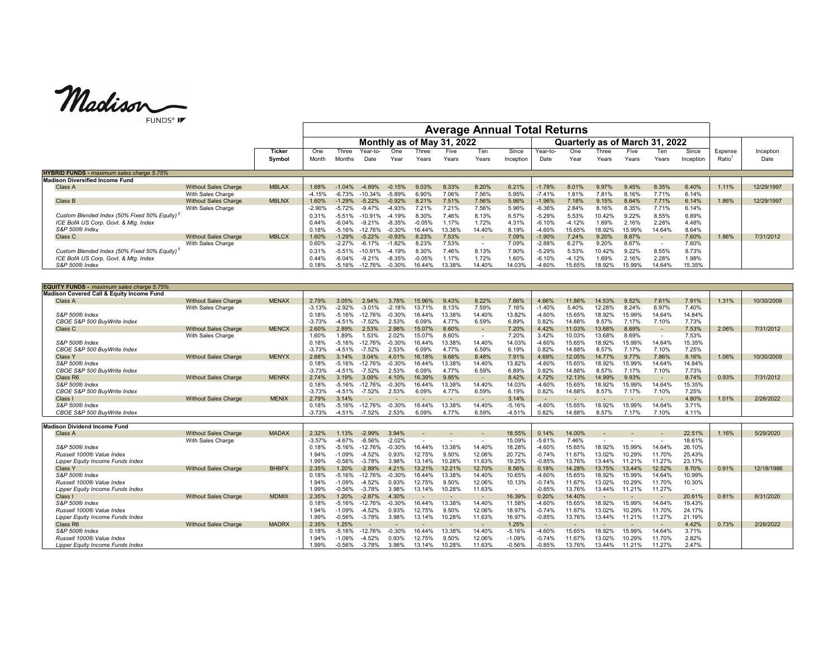Madison

|                                                          |                             |                         | <b>Average Annual Total Returns</b> |                 |                  |             |                |                            |              |                    |                  |             |                |               |                                |                    |                  |                   |
|----------------------------------------------------------|-----------------------------|-------------------------|-------------------------------------|-----------------|------------------|-------------|----------------|----------------------------|--------------|--------------------|------------------|-------------|----------------|---------------|--------------------------------|--------------------|------------------|-------------------|
|                                                          |                             |                         |                                     |                 |                  |             |                | Monthly as of May 31, 2022 |              |                    |                  |             |                |               | Quarterly as of March 31, 2022 |                    |                  |                   |
|                                                          |                             | <b>Ticker</b><br>Symbol | One<br>Month                        | Three<br>Months | Year-to-<br>Date | One<br>Year | Three<br>Years | Five<br>Years              | Ten<br>Years | Since<br>Inception | Year-to-<br>Date | One<br>Year | Three<br>Years | Five<br>Years | Ten<br>Years                   | Since<br>Inception | Expense<br>Ratio | Inception<br>Date |
| <b>HYBRID FUNDS - maximum sales charge 5.75%</b>         |                             |                         |                                     |                 |                  |             |                |                            |              |                    |                  |             |                |               |                                |                    |                  |                   |
| <b>Madison Diversified Income Fund</b>                   |                             |                         |                                     |                 |                  |             |                |                            |              |                    |                  |             |                |               |                                |                    |                  |                   |
| Class A                                                  | <b>Without Sales Charge</b> | <b>MBLAX</b>            | 1.68%                               | $-1.04%$        | $-4.89%$         | $-0.15%$    | 9.03%          | 8.33%                      | 8.20%        | 6.21%              | $-1.78%$         | 8.01%       | 9.97%          | 9.45%         | 8.35%                          | 6.40%              | 1.11%            | 12/29/1997        |
|                                                          | With Sales Charge           |                         | $-4.15%$                            | $-6.73%$        | -10.34%          | $-5.89%$    | 6.90%          | 7.06%                      | 7.56%        | 5.95%              | $-7.41%$         | .81%        | 7.81%          | 8.16%         | 7.71%                          | 6.14%              |                  |                   |
| Class B                                                  | <b>Without Sales Charge</b> | <b>MBLNX</b>            | 1.60%                               | $-1.29%$        | $-5.22%$         | $-0.92%$    | 8.21%          | 7.51%                      | 7.56%        | 5.96%              | $-1.96%$         | 7.18%       | 9.15%          | 8.64%         | 7.71%                          | 6.14%              | 1.86%            | 12/29/1997        |
|                                                          | With Sales Charge           |                         | $-2.90%$                            | $-5.72%$        | $-9.47%$         | $-4.93%$    | 7.21%          | 7.21%                      | 7.56%        | 5.96%              | $-6.36%$         | 2.84%       | 8.16%          | 8.35%         | 7.71%                          | 6.14%              |                  |                   |
| Custom Blended Index (50% Fixed 50% Equity) <sup>5</sup> |                             |                         | 0.31%                               | $-5.51\%$       | ገ 91%            | $-4.19%$    | 8.30%          | 7.46%                      | 8.13%        | 6.57%              | $-5.29%$         | 5.53%       | 10.42%         | 9.22%         | 8.55%                          | 6.89%              |                  |                   |
| ICE BofA US Corp. Govt. & Mtg. Index                     |                             |                         | 0.449                               | 6.04%           | $-9.21%$         | $-8.35%$    | 0.05%          | 1.17%                      | 1.72%        | 4.31%              | $-6.10%$         | $-4.12%$    | .69%           | 2.16%         | 2.28%                          | 4.48%              |                  |                   |
| S&P 500® Index                                           |                             |                         | 0.18%                               | $-5.16%$        | $-12.76%$        | $-0.30%$    | 644%           | 13.38%                     | 14.40%       | 8.19%              | $-4.60%$         | 15.65%      | 18.92%         | 15.99%        | 14.64%                         | 8.64%              |                  |                   |
| Class C                                                  | <b>Without Sales Charge</b> | <b>MBLCX</b>            | 1.60%                               | $-1.29%$        | $-5.22%$         | $-0.93%$    | 8.23%          | 7.53%                      |              | 7.09%              | $-1.90%$         | 7.24%       | 9.20%          | 8.67%         | $\overline{\phantom{a}}$       | 7.60%              | 1.86%            | 7/31/2012         |
|                                                          | With Sales Charge           |                         | 0.60%                               | $-2.27%$        | -6.17%           | $-1.82%$    | 8.23%          | 7.53%                      |              | 7.09%              | $-2.88%$         | 6.27%       | 9.20%          | 8.67%         |                                | 7.60%              |                  |                   |
| Custom Blended Index (50% Fixed 50% Equity) <sup>5</sup> |                             |                         | 0.31%                               | $-5.51%$        | -10.91%          | $-4.19%$    | 8.30%          | 7.46%                      | 8.13%        | 7.90%              | $-5.29%$         | 5.53%       | 10.42%         | 9.22%         | 8.55%                          | 8.73%              |                  |                   |
| ICE BofA US Corp. Govt. & Mtg. Index                     |                             |                         | 0.44%                               | $-6.04%$        | $-9.21%$         | $-8.35%$    | 0.05%          | 1.17%                      | 1.72%        | 1.60%              | $-6.10%$         | $-4.12%$    | 1.69%          | 2.16%         | 2.28%                          | 1.98%              |                  |                   |
| S&P 500® Index                                           |                             |                         | 0.18%                               | $-5.16%$        | $-12.76%$        | $-0.30%$    | 6.44%          | 13.38%                     | 14.40%       | 14.03%             | $-4.60%$         | 15.65%      | 18.92%         | 15.99%        | 14.64%                         | 15.35%             |                  |                   |

| <b>EQUITY FUNDS - maximum sales charge 5.75%</b> |                             |              |          |          |           |          |                          |        |                          |                          |                |                |                          |        |                          |        |       |            |
|--------------------------------------------------|-----------------------------|--------------|----------|----------|-----------|----------|--------------------------|--------|--------------------------|--------------------------|----------------|----------------|--------------------------|--------|--------------------------|--------|-------|------------|
| Madison Covered Call & Equity Income Fund        |                             |              |          |          |           |          |                          |        |                          |                          |                |                |                          |        |                          |        |       |            |
| Class A                                          | <b>Without Sales Charge</b> | <b>MENAX</b> | 2.79%    | 3.05%    | 2.94%     | 3.78%    | 15.96%                   | 9.43%  | 8.22%                    | 7.66%                    | 4.66%          | 11.86%         | 14.53%                   | 9.52%  | 7.61%                    | 7.91%  | 1.31% | 10/30/2009 |
|                                                  | With Sales Charge           |              | $-3.13%$ | $-2.92%$ | $-3.01%$  | $-2.18%$ | 13.71%                   | 8.13%  | 7.59%                    | 7.16%                    | $-1.40%$       | 5.40%          | 12.28%                   | 8.24%  | 6.97%                    | 7.40%  |       |            |
| S&P 500® Index                                   |                             |              | 0.18%    | $-5.16%$ | $-12.76%$ | $-0.30%$ | 16.44%                   | 13.38% | 14.40%                   | 13.82%                   | $-4.60%$       | 15.65%         | 18.92%                   | 15.99% | 14.64%                   | 14.84% |       |            |
| CBOE S&P 500 BuyWrite Index                      |                             |              | $-3.73%$ | $-4.51%$ | -7.52%    | 2.53%    | 6.09%                    | 4.77%  | 6.59%                    | 6.89%                    | 0.82%          | 14.88%         | 8.57%                    | 7.17%  | 7.10%                    | 7.73%  |       |            |
| Class C                                          | <b>Without Sales Charge</b> | <b>MENCX</b> | 2.60%    | 2.89%    | 2.53%     | 2.98%    | 15.07%                   | 8.60%  | $\sim$                   | 7.20%                    | 4.42%          | 11.03%         | 13.68%                   | 8.69%  | $\sim$                   | 7.53%  | 2.06% | 7/31/2012  |
|                                                  | With Sales Charge           |              | 1.60%    | 1.89%    | 1.53%     | 2.02%    | 15.07%                   | 8.60%  | $\sim$                   | 7.20%                    | 3.42%          | 10.03%         | 13.68%                   | 8.69%  | $\sim$                   | 7.53%  |       |            |
| S&P 500® Index                                   |                             |              | 0.18%    | $-5.16%$ | $-12.76%$ | $-0.30%$ | 16.44%                   | 13.38% | 14.40%                   | 14.03%                   | $-4.60%$       | 15.65%         | 18.92%                   | 15.99% | 14.64%                   | 15.35% |       |            |
| CBOE S&P 500 BuyWrite Index                      |                             |              | $-3.73%$ | $-4.51%$ | $-7.52%$  | 2.53%    | 6.09%                    | 4.77%  | 6.59%                    | 6.19%                    | 0.82%          | 14.88%         | 8.57%                    | 7.17%  | 7.10%                    | 7.25%  |       |            |
| Class Y                                          | <b>Without Sales Charge</b> | <b>MENYX</b> | 2.68%    | 3.14%    | 3.04%     | 4.01%    | 16.18%                   | 9.68%  | 8.48%                    | 7.91%                    | 4.69%          | 12.05%         | 14.77%                   | 9.77%  | 7.86%                    | 8.16%  | 1.06% | 10/30/2009 |
| S&P 500® Index                                   |                             |              | 0.18%    | $-5.16%$ | $-12.76%$ | $-0.30%$ | 16.44%                   | 13.38% | 14.40%                   | 13.82%                   | $-4.60%$       | 15.65%         | 18.92%                   | 15.99% | 14.64%                   | 14.84% |       |            |
| CBOE S&P 500 BuyWrite Index                      |                             |              | $-3.73%$ | $-4.51%$ | -7.52%    | 2.53%    | 6.09%                    | 4.77%  | 6.59%                    | 6.89%                    | 0.82%          | 14.88%         | 8.57%                    | 7.17%  | 7.10%                    | 7.73%  |       |            |
| Class R6                                         | <b>Without Sales Charge</b> | <b>MENRX</b> | 2.74%    | 3.19%    | 3.09%     | 4.10%    | 16.39%                   | 9.85%  | $\overline{\phantom{a}}$ | 8.42%                    | 4.72%          | 12.13%         | 14.99%                   | 9.93%  | $\sim$                   | 8.74%  | 0.93% | 7/31/2012  |
| S&P 500® Index                                   |                             |              | 0.18%    | $-5.16%$ | $-12.76%$ | $-0.30%$ | 16.44%                   | 13.38% | 14.40%                   | 14.03%                   | $-4.60%$       | 15.65%         | 18.92%                   | 15.99% | 14.64%                   | 15.35% |       |            |
| CBOE S&P 500 BuyWrite Index                      |                             |              | $-3.73%$ | $-4.51%$ | $-7.52%$  | 2.53%    | 6.09%                    | 4.77%  | 6.59%                    | 6.19%                    | 0.82%          | 14.88%         | 8.57%                    | 7.17%  | 7.10%                    | 7.25%  |       |            |
| Class I                                          | <b>Without Sales Charge</b> | <b>MENIX</b> | 2.79%    | 3.14%    |           |          |                          |        | $\sim$                   | 3.14%                    | $\overline{a}$ | $\overline{a}$ | $\overline{\phantom{a}}$ |        | $\overline{\phantom{a}}$ | 4.80%  | 1.01% | 2/28/2022  |
| S&P 500® Index                                   |                             |              | 0.18%    | $-5.16%$ | $-12.76%$ | $-0.30%$ | 16.44%                   | 13.38% | 14.40%                   | $-5.16%$                 | $-4.60%$       | 15.65%         | 18.92%                   | 15.99% | 14.64%                   | 3.71%  |       |            |
| CBOE S&P 500 BuvWrite Index                      |                             |              | $-3.73%$ | $-4.51%$ | -7.52%    | 2.53%    | 6.09%                    | 4.77%  | 6.59%                    | $-4.51%$                 | 0.82%          | 14.88%         | 8.57%                    | 7.17%  | 7.10%                    | 4.11%  |       |            |
|                                                  |                             |              |          |          |           |          |                          |        |                          |                          |                |                |                          |        |                          |        |       |            |
| <b>Madison Dividend Income Fund</b>              |                             |              |          |          |           |          |                          |        |                          |                          |                |                |                          |        |                          |        |       |            |
| Class A                                          | <b>Without Sales Charge</b> | <b>MADAX</b> | 2.32%    | 1.13%    | $-2.99%$  | 3.94%    | $\overline{\phantom{a}}$ |        |                          | 18.55%                   | 0.14%          | 14.00%         | $\overline{\phantom{a}}$ |        | $\overline{\phantom{0}}$ | 22.51% | 1.16% | 5/29/2020  |
|                                                  | With Sales Charge           |              | $-3.57%$ | $-4.67%$ | $-8.56%$  | $-2.02%$ |                          |        | $\sim$                   | 15.09%                   | $-5.61%$       | 7.46%          |                          |        | $\overline{\phantom{a}}$ | 18.61% |       |            |
| S&P 500® Index                                   |                             |              | 0.18%    | $-5.16%$ | $-12.76%$ | $-0.30%$ | 16.44%                   | 13.38% | 14.40%                   | 18.28%                   | $-4.60%$       | 15.65%         | 18.92%                   | 15.99% | 14.64%                   | 26.10% |       |            |
| Russell 1000® Value Index                        |                             |              | 1.94%    | $-1.09%$ | $-4.52%$  | 0.93%    | 12.75%                   | 9.50%  | 12.06%                   | 20.72%                   | $-0.74%$       | 11.67%         | 13.02%                   | 10.29% | 11.70%                   | 25.43% |       |            |
| Lipper Equity Income Funds Index                 |                             |              | 1.99%    | $-0.56%$ | $-3.78%$  | 3.98%    | 13.14%                   | 10.28% | 11.63%                   | 19.25%                   | $-0.85%$       | 13.76%         | 13.44%                   | 11.21% | 11.27%                   | 23.17% |       |            |
| Class Y                                          | <b>Without Sales Charge</b> | <b>BHBFX</b> | 2.35%    | 1.20%    | $-2.89%$  | 4.21%    | 13.21%                   | 12.21% | 12.70%                   | 8.56%                    | 0.18%          | 14.28%         | 13.75%                   | 13.44% | 12.52%                   | 8.70%  | 0.91% | 12/18/1986 |
| S&P 500® Index                                   |                             |              | 0.18%    | -5.16%   | $-12.76%$ | $-0.30%$ | 16.44%                   | 13.38% | 14.40%                   | 10.65%                   | $-4.60%$       | 15.65%         | 18.92%                   | 15.99% | 14.64%                   | 10.99% |       |            |
| Russell 1000® Value Index                        |                             |              | 1.94%    | $-1.09%$ | $-4.52%$  | 0.93%    | 12.75%                   | 9.50%  | 12.06%                   | 10.13%                   | $-0.74%$       | 11.67%         | 13.02%                   | 10.29% | 11.70%                   | 10.30% |       |            |
| <b>Lipper Equity Income Funds Index</b>          |                             |              | 1.99%    | $-0.56%$ | $-3.78%$  | 3.98%    | 13.14%                   | 10.28% | 11.63%                   | $\overline{\phantom{a}}$ | $-0.85%$       | 13.76%         | 13.44%                   | 11.21% | 11.27%                   |        |       |            |
| Class I                                          | <b>Without Sales Charge</b> | <b>MDMIX</b> | 2.35%    | 1.20%    | $-2.87%$  | 4.30%    |                          |        | $\sim$                   | 16.39%                   | 0.20%          | 14.40%         |                          |        |                          | 20.61% | 0.81% | 8/31/2020  |
| S&P 500® Index                                   |                             |              | 0.18%    | $-5.16%$ | $-12.76%$ | $-0.30%$ | 16.44%                   | 13.38% | 14.40%                   | 11.58%                   | $-4.60%$       | 15.65%         | 18.92%                   | 15.99% | 14.64%                   | 19.43% |       |            |
| Russell 1000® Value Index                        |                             |              | 1.94%    | $-1.09%$ | $-4.52%$  | 0.93%    | 12.75%                   | 9.50%  | 12.06%                   | 18.97%                   | $-0.74%$       | 11.67%         | 13.02%                   | 10.29% | 11.70%                   | 24.17% |       |            |
| Lipper Equity Income Funds Index                 |                             |              | 1.99%    | $-0.56%$ | $-3.78%$  | 3.98%    | 13.14%                   | 10.28% | 11.63%                   | 16.97%                   | $-0.85%$       | 13.76%         | 13.44%                   | 11.21% | 11.27%                   | 21.19% |       |            |
| Class R6                                         | <b>Without Sales Charge</b> | <b>MADRX</b> | 2.35%    | 1.25%    |           |          |                          |        | $\sim$                   | 1.25%                    |                |                |                          |        | $\sim$                   | 4.42%  | 0.73% | 2/28/2022  |
| S&P 500® Index                                   |                             |              | 0.18%    | $-5.16%$ | $-12.76%$ | $-0.30%$ | 16.44%                   | 13.38% | 14.40%                   | $-5.16%$                 | $-4.60%$       | 15.65%         | 18.92%                   | 15.99% | 14.64%                   | 3.71%  |       |            |
| Russell 1000® Value Index                        |                             |              | 1.94%    | $-1.09%$ | $-4.52%$  | 0.93%    | 12.75%                   | 9.50%  | 12.06%                   | $-1.09%$                 | $-0.74%$       | 11.67%         | 13.02%                   | 10.29% | 11.70%                   | 2.82%  |       |            |
| Lipper Equity Income Funds Index                 |                             |              | 1.99%    | $-0.56%$ | $-3.78%$  | 3.98%    | 13.14%                   | 10.28% | 11.63%                   | $-0.56%$                 | $-0.85%$       | 13.76%         | 13.44%                   | 11.21% | 11.27%                   | 2.47%  |       |            |
|                                                  |                             |              |          |          |           |          |                          |        |                          |                          |                |                |                          |        |                          |        |       |            |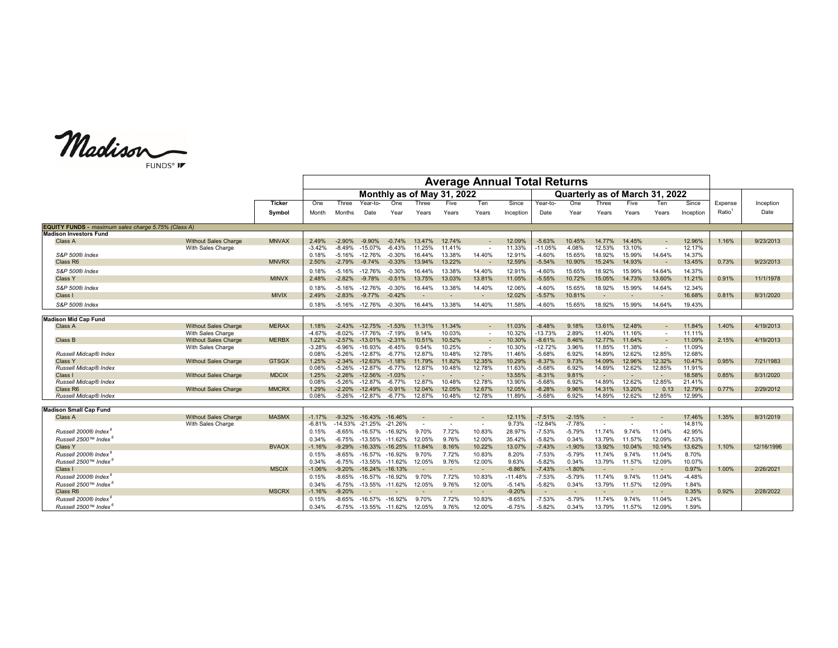Madison

|  |  | FUNDS® I <b>F</b> |  |
|--|--|-------------------|--|
|--|--|-------------------|--|

|                                                     |                             |               |                |                      |                        |                      |        |                            |                          | <b>Average Annual Total Returns</b> |                          |                          |        |        |                                |                  |                    |            |
|-----------------------------------------------------|-----------------------------|---------------|----------------|----------------------|------------------------|----------------------|--------|----------------------------|--------------------------|-------------------------------------|--------------------------|--------------------------|--------|--------|--------------------------------|------------------|--------------------|------------|
|                                                     |                             |               |                |                      |                        |                      |        | Monthly as of May 31, 2022 |                          |                                     |                          |                          |        |        | Quarterly as of March 31, 2022 |                  |                    |            |
|                                                     |                             | <b>Ticker</b> | One            | Three                | Year-to-               | One                  | Three  | Five                       | Ten                      | Since                               | Year-to-                 | One                      | Three  | Five   | Ten                            | Since            | Expense            | Inception  |
|                                                     |                             | Symbol        | Month          | Months               | Date                   | Year                 | Years  | Years                      | Years                    | Inception                           | Date                     | Year                     | Years  | Years  | Years                          | Inception        | Ratio <sup>1</sup> | Date       |
|                                                     |                             |               |                |                      |                        |                      |        |                            |                          |                                     |                          |                          |        |        |                                |                  |                    |            |
| EQUITY FUNDS - maximum sales charge 5.75% (Class A) |                             |               |                |                      |                        |                      |        |                            |                          |                                     |                          |                          |        |        |                                |                  |                    |            |
| <b>Madison Investors Fund</b>                       |                             |               |                |                      |                        |                      |        |                            |                          |                                     |                          |                          |        |        |                                |                  |                    |            |
| Class A                                             | <b>Without Sales Charge</b> | <b>MNVAX</b>  | 2.49%          | $-2.90%$             | $-9.90%$               | $-0.74%$             | 13.47% | 12.74%                     |                          | 12.09%                              | $-5.63%$                 | 10.45%                   | 14.77% | 14.45% | $\overline{\phantom{a}}$       | 12.96%           | 1.16%              | 9/23/2013  |
|                                                     | With Sales Charge           |               | $-3.42%$       | $-8.49%$             | $-15.07%$              | $-6.43%$             | 11.25% | 11.41%                     |                          | 11.33%                              | $-11.05%$                | 4.08%                    | 12.53% | 13.10% | $\overline{\phantom{a}}$       | 12.17%           |                    |            |
| S&P 500® Index                                      |                             |               | 0.18%          | $-5.16%$             | $-12.76%$              | $-0.30%$             | 16.44% | 13.38%                     | 14.40%                   | 12.91%                              | $-4.60%$                 | 15.65%                   | 18.92% | 15.99% | 14.64%                         | 14.37%           |                    |            |
| Class R6                                            |                             | <b>MNVRX</b>  | 2.50%          | $-2.79%$             | $-9.74%$               | $-0.33%$             | 13.94% | 13.22%                     |                          | 12.59%                              | $-5.54%$                 | 10.90%                   | 15.24% | 14.93% | $\sim$                         | 13.45%           | 0.73%              | 9/23/2013  |
| S&P 500® Index                                      |                             |               | 0.18%          | $-5.16%$             | $-12.76%$              | $-0.30%$             | 16.44% | 13.38%                     | 14.40%                   | 12.91%                              | $-4.60%$                 | 15.65%                   | 18.92% | 15.99% | 14.64%                         | 14.37%           |                    |            |
| Class Y                                             |                             | <b>MINVX</b>  | 2.48%          | $-2.82%$             | $-9.78%$               | $-0.51%$             | 13.75% | 13.03%                     | 13.81%                   | 11.05%                              | $-5.55%$                 | 10.72%                   | 15.05% | 14.73% | 13.60%                         | 11.21%           | 0.91%              | 11/1/1978  |
| S&P 500® Index                                      |                             |               | 0.18%          | $-5.16%$             | -12.76%                | $-0.30%$             | 16.44% | 13.38%                     | 14.40%                   | 12.06%                              | $-4.60%$                 | 15.65%                   | 18.92% | 15.99% | 14.64%                         | 12.34%           |                    |            |
| Class I                                             |                             | <b>MIVIX</b>  | 2.49%          | $-2.83%$             | $-9.77%$               | $-0.42%$             |        |                            | $\sim$                   | 12.02%                              | $-5.57%$                 | 10.81%                   |        |        |                                | 16.68%           | 0.81%              | 8/31/2020  |
| S&P 500® Index                                      |                             |               | 0.18%          | $-5.16%$             | -12.76%                | $-0.30%$             | 16.44% | 13.38%                     | 14.40%                   | 11.58%                              | $-4.60%$                 | 15.65%                   | 18.92% | 15.99% | 14.64%                         | 19.43%           |                    |            |
|                                                     |                             |               |                |                      |                        |                      |        |                            |                          |                                     |                          |                          |        |        |                                |                  |                    |            |
| <b>Madison Mid Cap Fund</b>                         |                             |               |                |                      |                        |                      |        |                            |                          |                                     |                          |                          |        |        |                                |                  |                    |            |
| Class A                                             | <b>Without Sales Charge</b> | <b>MERAX</b>  | 1.18%          | $-2.43%$             | $-12.75%$              | $-1.53%$             | 11.31% | 11.34%                     |                          | 11.03%                              | $-8.48%$                 | 9.18%                    | 13.61% | 12.48% | $\sim$                         | 11.84%           | 1.40%              | 4/19/2013  |
|                                                     | With Sales Charge           |               | $-4.67%$       | $-8.02%$             | $-17.76%$              | -7.19%               | 9.14%  | 10.03%                     | $\overline{\phantom{a}}$ | 10.32%                              | -13.73%                  | 2.89%                    | 11.40% | 11.16% | $\overline{\phantom{a}}$       | 11.11%           |                    |            |
| Class B                                             | <b>Without Sales Charge</b> | <b>MERBX</b>  | 1.22%          | $-2.57%$             | $-13.01%$              | $-2.31%$             | 10.51% | 10.52%                     |                          | 10.30%                              | $-8.61%$                 | 8.46%                    | 12.77% | 11.64% | $\sim$                         | 11.09%           | 2.15%              | 4/19/2013  |
|                                                     | With Sales Charge           |               | $-3.28%$       | $-6.96%$             | $-16.93%$              | $-6.45%$             | 9.54%  | 10.25%                     | $\overline{\phantom{a}}$ | 10.30%                              | -12.72%                  | 3.96%                    | 11.85% | 11.38% | $\overline{\phantom{a}}$       | 11.09%           |                    |            |
| Russell Midcap® Index                               |                             |               | 0.08%          | $-5.26%$             | $-12.87%$              | $-6.77%$             | 12.87% | 10.48%                     | 12.78%                   | 11.46%                              | $-5.68%$                 | 6.92%                    | 14.89% | 12.62% | 12.85%                         | 12.68%           |                    |            |
| Class Y                                             | <b>Without Sales Charge</b> | <b>GTSGX</b>  | 1.25%          | $-2.34%$             | $-12.63%$              | $-1.18%$             | 11.79% | 11.82%                     | 12.35%                   | 10.29%                              | $-8.37%$                 | 9.73%                    | 14.09% | 12.96% | 12.32%                         | 10.47%           | 0.95%              | 7/21/1983  |
| Russell Midcap® Index                               |                             | <b>MDCIX</b>  | 0.08%<br>1.25% | $-5.26%$<br>$-2.26%$ | $-12.87%$<br>$-12.56%$ | $-6.77%$<br>$-1.03%$ | 12.87% | 10.48%                     | 12.78%                   | 11.63%<br>13.55%                    | $-5.68%$<br>$-8.31%$     | 6.92%<br>9.81%           | 14.89% | 12.62% | 12.85%                         | 11.91%<br>18.58% | 0.85%              | 8/31/2020  |
| Class I<br>Russell Midcap® Index                    | <b>Without Sales Charge</b> |               | 0.08%          | $-5.26%$             | $-12.87%$              | $-6.77%$             | 12.87% | 10.48%                     | $\sim$<br>12.78%         | 13.90%                              | $-5.68%$                 | 6.92%                    | 14.89% | 12.62% | $\sim$<br>12.85%               | 21.41%           |                    |            |
| Class R6                                            | <b>Without Sales Charge</b> | <b>MMCRX</b>  | 1.29%          | $-2.20%$             | $-12.49%$              | $-0.91%$             | 12.04% | 12.05%                     | 12.67%                   | 12.05%                              | $-8.28%$                 | 9.96%                    | 14.31% | 13.20% | 0.13                           | 12.79%           | 0.77%              | 2/29/2012  |
| Russell Midcap® Index                               |                             |               | 0.08%          | -5.26%               | -12.87%                | $-6.77\%$            | 12.87% | 10.48%                     | 12.78%                   | 11.89%                              | $-5.68%$                 | 6.92%                    | 14.89% | 12.62% | 12.85%                         | 12.99%           |                    |            |
|                                                     |                             |               |                |                      |                        |                      |        |                            |                          |                                     |                          |                          |        |        |                                |                  |                    |            |
| <b>Madison Small Cap Fund</b>                       |                             |               |                |                      |                        |                      |        |                            |                          |                                     |                          |                          |        |        |                                |                  |                    |            |
| Class A                                             | <b>Without Sales Charge</b> | <b>MASMX</b>  | $-1.17%$       | $-9.32%$             | $-16.43%$              | $-16.46%$            |        |                            |                          | 12.11%                              | $-7.51%$                 | $-2.15%$                 |        |        |                                | 17.46%           | 1.35%              | 8/31/2019  |
|                                                     | With Sales Charge           |               | $-6.81%$       | $-14.53%$            | $-21.25%$              | $-21.26%$            |        |                            | $\overline{\phantom{a}}$ | 9.73%                               | -12.84%                  | $-7.78%$                 |        |        | $\overline{\phantom{a}}$       | 14.81%           |                    |            |
| Russell 2000® Index <sup>6</sup>                    |                             |               | 0.15%          | $-8.65%$             | $-16.57%$              | $-16.92%$            | 9.70%  | 7.72%                      | 10.83%                   | 28.97%                              | $-7.53%$                 | $-5.79%$                 | 11.74% | 9.74%  | 11.04%                         | 42.95%           |                    |            |
| Russell 2500™ Index <sup>6</sup>                    |                             |               | 0.34%          | $-6.75%$             | $-13.55%$              | $-11.62%$            | 12.05% | 9.76%                      | 12.00%                   | 35.42%                              | $-5.82%$                 | 0.34%                    | 13.79% | 11.57% | 12.09%                         | 47.53%           |                    |            |
| Class Y                                             |                             | <b>BVAOX</b>  | $-1.16%$       | $-9.29%$             | $-16.33%$              | $-16.25%$            | 11.84% | 8.16%                      | 10.22%                   | 13.07%                              | $-7.43%$                 | $-1.90%$                 | 13.92% | 10.04% | 10.14%                         | 13.62%           | 1.10%              | 12/16/1996 |
| Russell 2000® Index <sup>6</sup>                    |                             |               | 0.15%          | $-8.65%$             | $-16.57%$              | -16.92%              | 9.70%  | 7.72%                      | 10.83%                   | 8.20%                               | $-7.53%$                 | $-5.79%$                 | 11.74% | 9.74%  | 11.04%                         | 8.70%            |                    |            |
| Russell 2500™ Index <sup>6</sup>                    |                             |               | 0.34%          | $-6.75%$             | $-13.55%$              | $-11.62%$            | 12.05% | 9.76%                      | 12.00%                   | 9.63%                               | $-5.82%$                 | 0.34%                    | 13.79% | 11.57% | 12.09%                         | 10.07%           |                    |            |
| Class I                                             |                             | <b>MSCIX</b>  | $-1.06%$       | $-9.20%$             | $-16.24\% -16.13\%$    |                      |        |                            | $\sim$                   | $-6.86%$                            | $-7.43%$                 | $-1.80%$                 |        |        |                                | 0.97%            | 1.00%              | 2/26/2021  |
| Russell 2000® Index <sup>6</sup>                    |                             |               | 0.15%          | $-8.65%$             | $-16.57%$              | $-16.92%$            | 9.70%  | 7.72%                      | 10.83%                   | $-11.48%$                           | $-7.53%$                 | $-5.79%$                 | 11.74% | 9.74%  | 11.04%                         | $-4.48%$         |                    |            |
| Russell 2500™ Index <sup>6</sup>                    |                             |               | 0.34%          | $-6.75%$             |                        | -13.55% -11.62%      | 12.05% | 9.76%                      | 12.00%                   | $-5.14%$                            | $-5.82%$                 | 0.34%                    | 13.79% | 11.57% | 12.09%                         | 1.84%            |                    |            |
| Class R6                                            |                             | <b>MSCRX</b>  | $-1.16%$       | $-9.20%$             |                        |                      |        |                            | $\sim$                   | $-9.20%$                            | $\overline{\phantom{a}}$ | $\overline{\phantom{0}}$ |        |        | $\sim$                         | 0.35%            | 0.92%              | 2/28/2022  |
| Russell 2000® Index <sup>6</sup>                    |                             |               | 0.15%          | $-8.65%$             | $-16.57%$              | $-16.92%$            | 9.70%  | 7.72%                      | 10.83%                   | $-8.65%$                            | $-7.53%$                 | $-5.79%$                 | 11.74% | 9.74%  | 11.04%                         | 1.24%            |                    |            |
| Russell 2500™ Index®                                |                             |               | 0.34%          | $-6.75%$             |                        | -13.55% -11.62%      | 12.05% | 9.76%                      | 12.00%                   | $-6.75%$                            | $-5.82%$                 | 0.34%                    | 13.79% | 11.57% | 12.09%                         | 1.59%            |                    |            |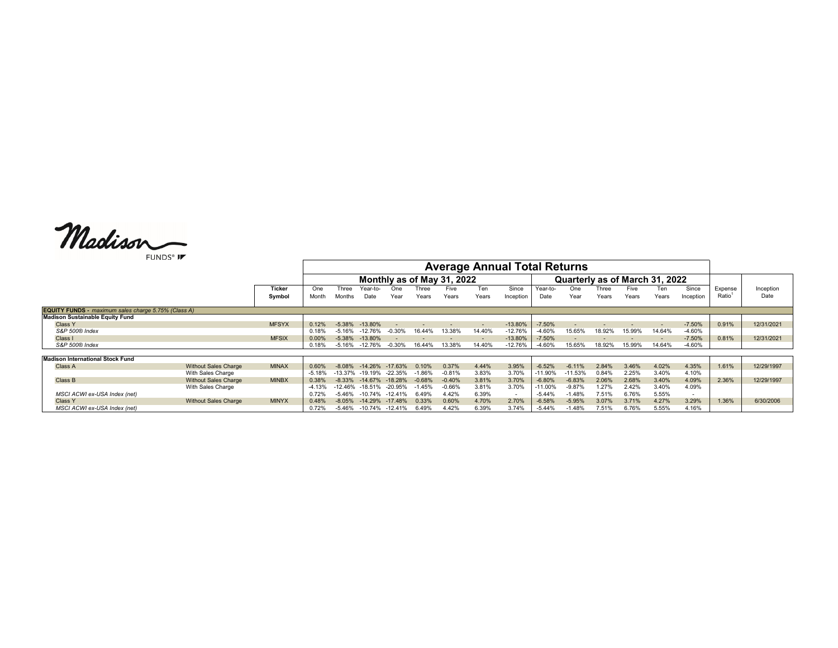Madison

|                                                            |               | <b>Average Annual Total Returns</b> |            |           |            |          |                            |        |                          |           |                                |        |        |        |           |         |            |
|------------------------------------------------------------|---------------|-------------------------------------|------------|-----------|------------|----------|----------------------------|--------|--------------------------|-----------|--------------------------------|--------|--------|--------|-----------|---------|------------|
|                                                            |               |                                     |            |           |            |          | Monthly as of May 31, 2022 |        |                          |           | Quarterly as of March 31, 2022 |        |        |        |           |         |            |
|                                                            | <b>Ticker</b> | One                                 | Three      | Year-to-  | One        | Three    | Five                       | Геn.   | Since                    | Year-to-  | One                            | Three  | Five   |        | Since     | Expense | Inception  |
|                                                            | Symbol        | Month                               | Months     | Date      | Year       | Years    | Years                      | Years  | Inception                | Date      | Year                           | Years  | Years  | Years  | Inception | Ratio   | Date       |
| <b>EQUITY FUNDS</b> - maximum sales charge 5.75% (Class A) |               |                                     |            |           |            |          |                            |        |                          |           |                                |        |        |        |           |         |            |
| <b>Madison Sustainable Equity Fund</b>                     |               |                                     |            |           |            |          |                            |        |                          |           |                                |        |        |        |           |         |            |
| Class Y                                                    | <b>MFSYX</b>  | 0.12%                               | $-5.38%$   | $-13.80%$ |            |          |                            |        | $-13.80%$                | $-7.50%$  |                                |        |        |        | $-7.50%$  | 0.91%   | 12/31/2021 |
| S&P 500® Index                                             |               | 0.18%                               | $-5.16%$   | -12.76%   | $0.30\%$   | 16.44%   | 13.38%                     | 14.40% | $-12.76%$                | $-4.60%$  | 15.65%                         | 18.92% | 15.99% | 14.64% | $-4.60%$  |         |            |
| Class I                                                    | <b>MFSIX</b>  | 0.00%                               | $-5.38%$   | $-13.80%$ |            |          |                            |        | $-13.80%$                | $-7.50%$  |                                |        |        |        | $-7.50%$  | 0.81%   | 12/31/2021 |
| S&P 500® Index                                             |               | 0.18%                               | $-5.16%$   | $-12.76%$ | $-0.30%$   | 16.44%   | 13.38%                     | 14.40% | $-12.76%$                | $-4.60%$  | 15.65%                         | 18.92% | 15.99% | 14.64% | $-4.60%$  |         |            |
|                                                            |               |                                     |            |           |            |          |                            |        |                          |           |                                |        |        |        |           |         |            |
| <b>Madison International Stock Fund</b>                    |               |                                     |            |           |            |          |                            |        |                          |           |                                |        |        |        |           |         |            |
| <b>Without Sales Charge</b><br>Class A                     | <b>MINAX</b>  | 0.60%                               | $-8.08%$   | $-14.26%$ | $-17.63%$  | 0.10%    | 0.37%                      | 4.44%  | 3.95%                    | $-6.52%$  | $-6.11%$                       | 2.84%  | 3.46%  | 4.02%  | 4.35%     | 1.61%   | 12/29/1997 |
| With Sales Charge                                          |               | $-5.18%$                            | $-13.37\%$ | $-19.19%$ | $-22.35\%$ | $-1.86%$ | $-0.81%$                   | 3.83%  | 3.70%                    | $-11.90%$ | $-11.53%$                      | 0.84%  | 2.25%  | 3.40%  | 4.10%     |         |            |
| Class B<br><b>Without Sales Charge</b>                     | <b>MINBX</b>  | 0.38%                               | $-8.33%$   | $-14.67%$ | $-18.28%$  | $-0.68%$ | $-0.40%$                   | 3.81%  | 3.70%                    | $-6.80%$  | $-6.83%$                       | 2.06%  | 2.68%  | 3.40%  | 4.09%     | 2.36%   | 12/29/1997 |
| With Sales Charge                                          |               | $-4.13%$                            | $-12.46%$  | $-18.51%$ | -20.95%    | $-1.45%$ | $-0.66%$                   | 3.81%  | 3.70%                    | $-11.00%$ | $-9.87%$                       | 1.27%  | 2.42%  | 3.40%  | 4.09%     |         |            |
| MSCI ACWI ex-USA Index (net)                               |               | 0.72%                               | $-5.46%$   | $-10.74%$ | $-12.41%$  | 6.49%    | 4.42%                      | 6.39%  | $\overline{\phantom{0}}$ | $-5.44%$  | $-1.48%$                       | 7.51%  | 6.76%  | 5.55%  |           |         |            |
| <b>Without Sales Charge</b><br>Class Y                     | <b>MINYX</b>  | 0.48%                               | $-8.05%$   | $-14.29%$ | $-17.48%$  | 0.33%    | 0.60%                      | 4.70%  | 2.70%                    | $-6.58%$  | $-5.95%$                       | 3.07%  | 3.71%  | 4.27%  | 3.29%     | 1.36%   | 6/30/2006  |
| MSCI ACWI ex-USA Index (net)                               |               | 0.72%                               | $-5.46%$   | -10.74%   | $-12.41%$  | 6.49%    | 4.42%                      | 6.39%  | 3.74%                    | $-5.44%$  | $-1.48%$                       | 7.51%  | 6.76%  | 5.55%  | 4.16%     |         |            |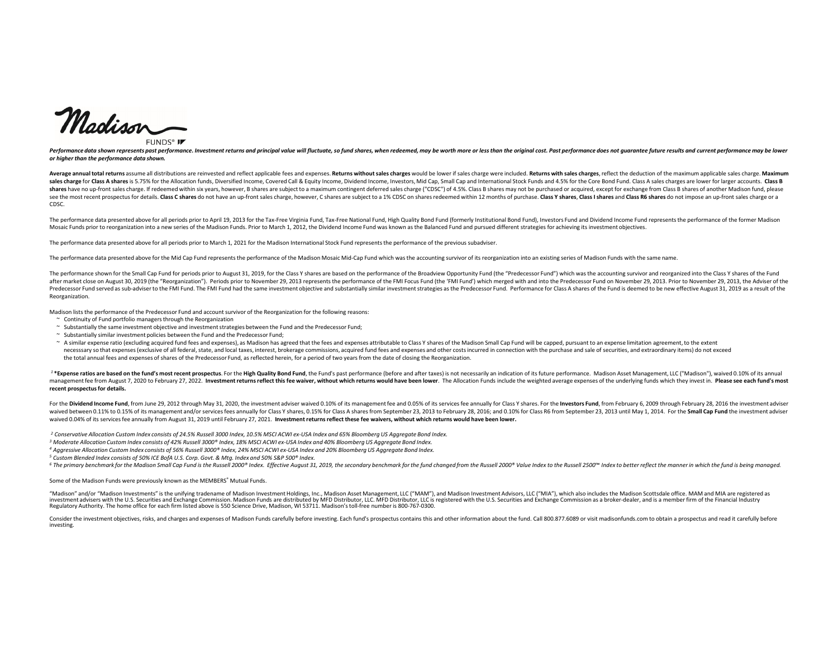Madison

FUNDS<sup>®</sup> IF

Performance data shown represents past performance. Investment returns and principal value will fluctuate, so fund shares, when redeemed, may be worth more or less than the original cost. Past performance does not guarante *lower or higher than the performance data shown. or higher than the performance data shown.*

Average annual total returns assume all distributions are reinvested and reflect applicable fees and expenses. Returns without sales charges would be lower if sales charge were included. Returns with sales charges, reflect sales charge for Class A shares is 5.75% for the Allocation funds, Diversified Income, Covered Call & Equity Income, Dividend Income, Investors, Mid Cap, Small Cap and International Stock Funds and 4.5% for the Core Bond F shares have no up-front sales charge. If redeemed within six years, however, B shares are subject to a maximum contingent deferred sales charge ("CDSC") of 4.5%. Class B shares may not be purchased or acquired, except for see the most recent prospectus for details. Class C shares do not have an up-front sales charge, however, C shares are subject to a 1% CDSC on shares redeemed within 12 months of purchase. Class Y shares, Class I shares an CDSC.

The performance data presented above for all periods prior to April 19, 2013 for the Tax-Free Virginia Fund, Tax-Free National Fund, High Quality Bond Fund (formerly Institutional Bond Fund), Investors Fund and Dividend In Mosaic Funds prior to reorganization into a new series of the Madison Funds. Prior to March 1, 2012, the Dividend Income Fund was known as the Balanced Fund and pursued different strategies for achieving its investment obj

The performance data presented above for all periods prior to March 1, 2021 for the Madison International Stock Fund representsthe performance of the previous subadviser.

The performance data presented above for the Mid Cap Fund represents the performance of the Madison Mosaic Mid-Cap Fund which was the accounting survivor of its reorganization into an existing series of Madison Funds with

The performance shown for the Small Cap Fund for periods prior to August 31, 2019, for the Class Y shares are based on the performance of the Broadview Opportunity Fund (the "Predecessor Fund") which was the accounting sur after market close on August 30, 2019 (the "Reorganization"). Periods prior to November 29, 2013 represents the performance of the FMI Focus Fund (the 'FMI Fund') which merged with and into the Predecessor Fund on November Predecessor Fund served as sub-adviser to the FMI Fund. The FMI Fund had the same investment objective and substantially similar investment strategies as the Predecessor Fund. Performance for Class A shares of the Fund is **Reorganization.** 

Madison lists the performance of the Predecessor Fund and account survivor of the Reorganization for the following reasons:

- ~ Continuity of Fund portfolio managersthrough the Reorganization
- ~ Substantially the same investment objective and investment strategies between the Fund and the Predecessor Fund;
- ~ Substantially similar investment policies between the Fund and the Predecessor Fund;
- ~ A similar expense ratio (excluding acquired fund fees and expenses), as Madison has agreed that the fees and expenses attributable to Class Y shares of the Madison Small Cap Fund will be capped, pursuant to an expense li

necesssary so that expenses (exclusive of all federal, state, and local taxes, interest, brokerage commissions, acquired fund fees and expenses and other costs incurred in connection with the purchase and sale of securitie the total annual fees and expenses of shares of the Predecessor Fund, as reflected herein, for a period of two years from the date of closing the Reorganization.

<sup>1</sup>\*Expense ratios are based on the fund's most recent prospectus. For the High Quality Bond Fund, the Fund's past performance (before and after taxes) is not necessarily an indication of its future performance. Madison As management fee from August 7, 2020 to February 27, 2022. Investment returns reflect this fee waiver, without which returns would have been lower. The Allocation Funds include the weighted average expenses of the underlying recent prospectus for details.

For the Dividend Income Fund, from June 29, 2012 through May 31, 2020, the investment adviser waived 0.10% of its management fee and 0.05% of its services fee annually for Class Y shares. For the Investors Fund, from Febru waived between 0.11% to 0.15% of its management and/or services fees annually for Class Y shares, 0.15% for Class A shares from September 23, 2013 to February 28, 2016; and 0.10% for Class R6 from September 23, 2013 until waived 0.04% of its services fee annually from August 31, 2019 until February 27, 2021. I**nvestment returns reflect these fee waivers, without which returns would have been lower.** 

<sup>2</sup> Conservative Allocation Custom Index consists of 24.5% Russell 3000 Index, 10.5% MSCI ACWI ex-USA Index and 65% Bloomberg US Aggregate Bond Index.

- <sup>3</sup> Moderate Allocation Custom Index consists of 42% Russell 3000® Index, 18% MSCI ACWI ex-USA Index and 40% Bloomberg US Aggregate Bond Index.
- 4 Aggressive Allocation Custom Index consists of 56% Russell 3000® Index, 24% MSCI ACWI ex-USA Index and 20% Bloomberg US Aggregate Bond Index.
- $^5$  Custom Blended Index consists of 50% ICE BofA U.S. Corp. Govt. & Mtg. Index and 50% S&P 500® Index.
- <sup>6</sup> The primary benchmark for the Madison Small Cap Fund is the Russell 2000® Index. Effective August 31, 2019, the secondary benchmark for the fund changed from the Russell 2000® Value Index to the Russell 2500™ Index to

Some of the Madison Funds were previously known as the MEMBERS® Mutual Funds.

"Madison" and/or "Madison Investments" is the unifying tradename of Madison Investment Holdings, Inc., Madison Asset Management, LLC ("MAM"), and Madison Investment Advisors, LLC ("MIA"), which also includes the Madison Sc investment advisers with the U.S. Securities and Exchange Commission. Madison Funds are distributed by MFD Distributor, LLC. MFD Distributor, LLC is registered with the U.S. Securities and Exchange Commission as a broker-d Regulatory Authority. The home office for each firm listed above is 550 Science Drive, Madison, WI 53711. Madison's toll‐free number is 800‐767‐0300.

Consider the investment objectives, risks, and charges and expenses of Madison Funds carefully before investing. Each fund's prospectus contains this and other information about the fund. Call 800.877.6089 or visit madison investing.